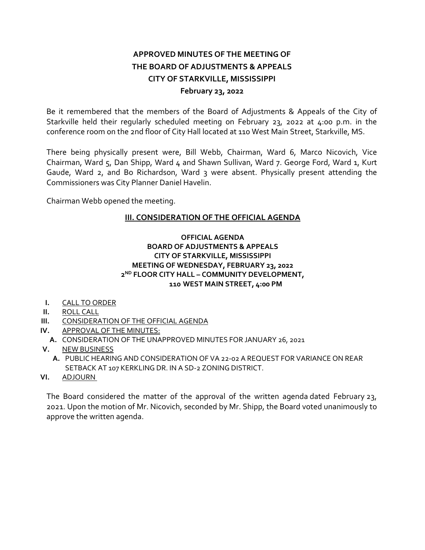# **APPROVED MINUTES OF THE MEETING OF THE BOARD OF ADJUSTMENTS & APPEALS CITY OF STARKVILLE, MISSISSIPPI February 23, 2022**

Be it remembered that the members of the Board of Adjustments & Appeals of the City of Starkville held their regularly scheduled meeting on February 23, 2022 at 4:00 p.m. in the conference room on the 2nd floor of City Hall located at 110 West Main Street, Starkville, MS.

There being physically present were, Bill Webb, Chairman, Ward 6, Marco Nicovich, Vice Chairman, Ward 5, Dan Shipp, Ward 4 and Shawn Sullivan, Ward 7. George Ford, Ward 1, Kurt Gaude, Ward 2, and Bo Richardson, Ward 3 were absent. Physically present attending the Commissioners was City Planner Daniel Havelin.

Chairman Webb opened the meeting.

## **III. CONSIDERATION OF THE OFFICIAL AGENDA**

#### **OFFICIAL AGENDA BOARD OF ADJUSTMENTS & APPEALS CITY OF STARKVILLE, MISSISSIPPI MEETING OF WEDNESDAY, FEBRUARY 23, 2022 2ND FLOOR CITY HALL – COMMUNITY DEVELOPMENT, 110 WEST MAIN STREET, 4:00 PM**

- **I.** CALL TO ORDER
- **II.** ROLL CALL
- **III.** CONSIDERATION OF THE OFFICIAL AGENDA
- **IV.** APPROVAL OF THE MINUTES:
- **A.** CONSIDERATION OF THE UNAPPROVED MINUTES FOR JANUARY 26, 2021
- **V.** NEW BUSINESS
	- **A.** PUBLIC HEARING AND CONSIDERATION OF VA 22-02 A REQUEST FOR VARIANCE ON REAR SETBACK AT 107 KERKLING DR. IN A SD-2 ZONING DISTRICT.
- **VI.** ADJOURN

The Board considered the matter of the approval of the written agenda dated February 23, 2021. Upon the motion of Mr. Nicovich, seconded by Mr. Shipp, the Board voted unanimously to approve the written agenda.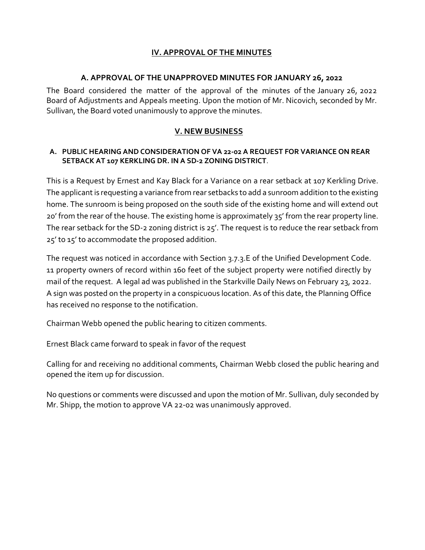## **IV. APPROVAL OF THE MINUTES**

### **A. APPROVAL OF THE UNAPPROVED MINUTES FOR JANUARY 26, 2022**

The Board considered the matter of the approval of the minutes of the January 26, 2022 Board of Adjustments and Appeals meeting. Upon the motion of Mr. Nicovich, seconded by Mr. Sullivan, the Board voted unanimously to approve the minutes.

## **V. NEW BUSINESS**

### **A. PUBLIC HEARING AND CONSIDERATION OF VA 22-02 A REQUEST FOR VARIANCE ON REAR SETBACK AT 107 KERKLING DR. IN A SD-2 ZONING DISTRICT**.

This is a Request by Ernest and Kay Black for a Variance on a rear setback at 107 Kerkling Drive. The applicant is requesting a variance from rear setbacks to add a sunroom addition to the existing home. The sunroom is being proposed on the south side of the existing home and will extend out 20' from the rear of the house. The existing home is approximately 35' from the rear property line. The rear setback for the SD-2 zoning district is 25'. The request is to reduce the rear setback from 25' to 15' to accommodate the proposed addition.

The request was noticed in accordance with Section 3.7.3.E of the Unified Development Code. 11 property owners of record within 160 feet of the subject property were notified directly by mail of the request. A legal ad was published in the Starkville Daily News on February 23, 2022. A sign was posted on the property in a conspicuous location. As of this date, the Planning Office has received no response to the notification.

Chairman Webb opened the public hearing to citizen comments.

Ernest Black came forward to speak in favor of the request

Calling for and receiving no additional comments, Chairman Webb closed the public hearing and opened the item up for discussion.

No questions or comments were discussed and upon the motion of Mr. Sullivan, duly seconded by Mr. Shipp, the motion to approve VA 22-02 was unanimously approved.